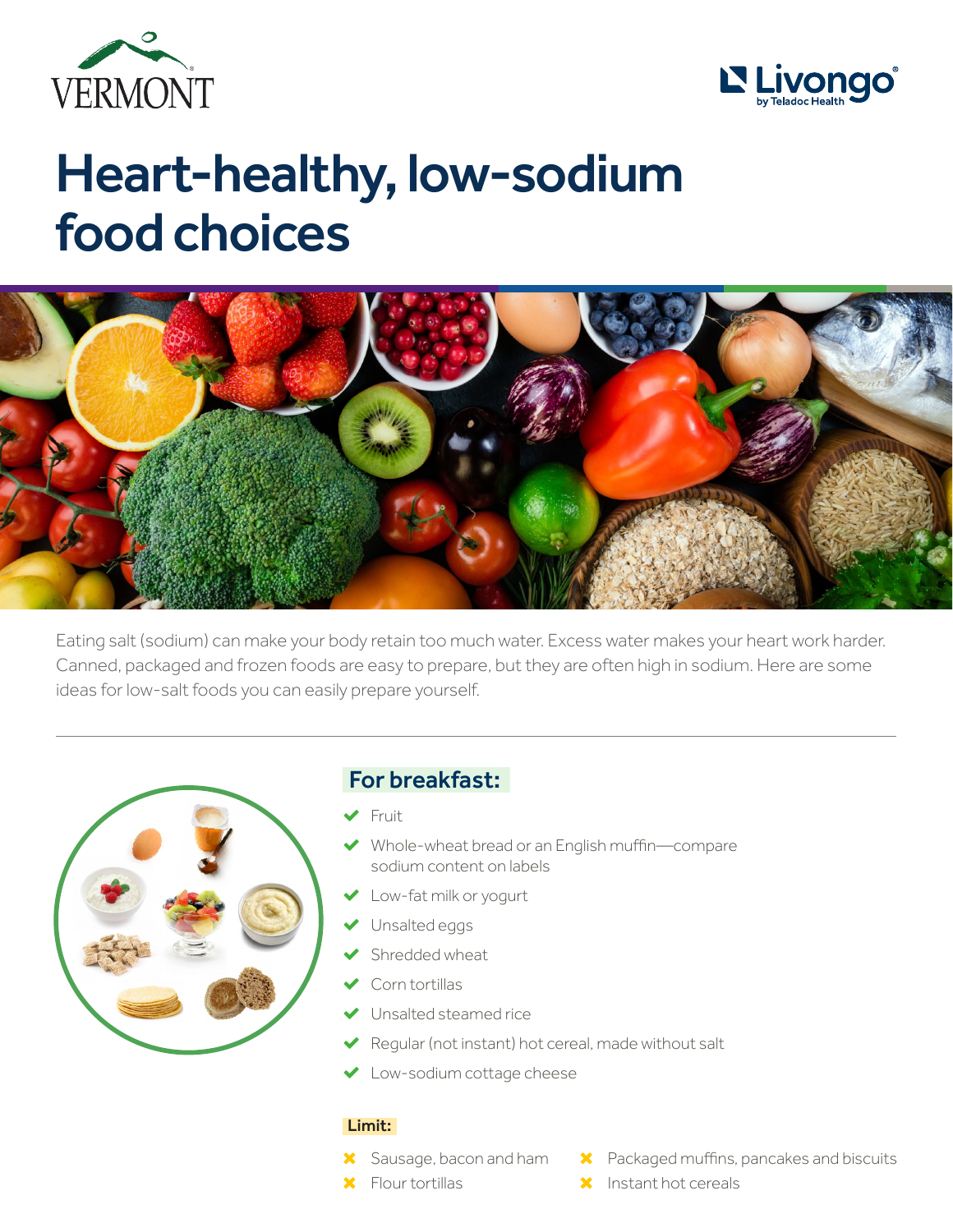



# Heart-healthy, low-sodium food choices



Eating salt (sodium) can make your body retain too much water. Excess water makes your heart work harder. Canned, packaged and frozen foods are easy to prepare, but they are often high in sodium. Here are some ideas for low-salt foods you can easily prepare yourself.



## For breakfast:

- 'Fruit
- ' Whole-wheat bread or an English muffin—compare sodium content on labels
- Low-fat milk or yogurt
- $\blacktriangleright$  Unsalted eggs
- 'Shredded wheat
- 'Corn tortillas
- 'Unsalted steamed rice
- $\checkmark$ Regular (not instant) hot cereal, made without salt
- **Low-sodium cottage cheese**

#### Limit:

- **X** Sausage, bacon and ham
- **X** Packaged muffins, pancakes and biscuits
- **X** Flour tortillas
- $\mathsf{\times}$  Instant hot cereals